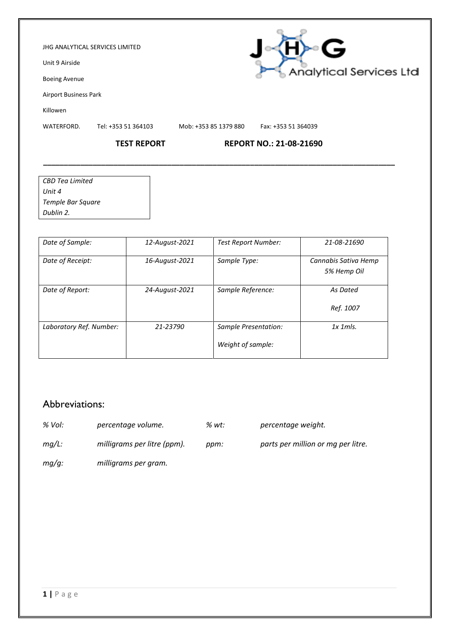#### JHG ANALYTICAL SERVICES LIMITED

Unit 9 Airside

Boeing Avenue

Airport Business Park

Killowen

WATERFORD. Tel: +353 51 364103 Mob: +353 85 1379 880 Fax: +353 51 364039

**\_\_\_\_\_\_\_\_\_\_\_\_\_\_\_\_\_\_\_\_\_\_\_\_\_\_\_\_\_\_\_\_\_\_\_\_\_\_\_\_\_\_\_\_\_\_\_\_\_\_\_\_\_\_\_\_\_\_\_\_\_\_\_\_\_\_\_\_\_\_\_\_\_\_\_\_\_\_\_\_\_\_\_\_\_**

### **TEST REPORT REPORT NO.: 21-08-21690**

| <b>CBD</b> Tea Limited |
|------------------------|
| l Jnit 4               |
| Temple Bar Square      |
| Dublin 2.              |

| Date of Sample:         | 12-August-2021 | <b>Test Report Number:</b>                | 21-08-21690                         |
|-------------------------|----------------|-------------------------------------------|-------------------------------------|
| Date of Receipt:        | 16-August-2021 | Sample Type:                              | Cannabis Sativa Hemp<br>5% Hemp Oil |
| Date of Report:         | 24-August-2021 | Sample Reference:                         | As Dated<br>Ref. 1007               |
| Laboratory Ref. Number: | 21-23790       | Sample Presentation:<br>Weight of sample: | $1x$ 1 m/s.                         |

## Abbreviations:

- *% Vol: percentage volume. % wt: percentage weight.*
	-
- *mg/L: milligrams per litre (ppm). ppm: parts per million or mg per litre.*
- *mg/g: milligrams per gram.*